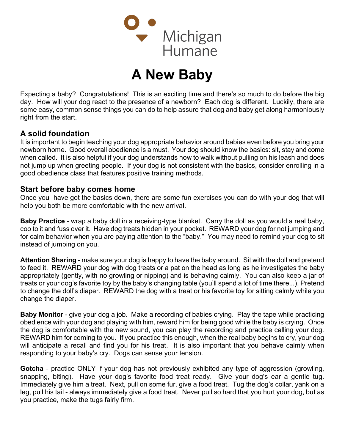

# A New Baby

Expecting a baby? Congratulations! This is an exciting time and there's so much to do before the big day. How will your dog react to the presence of a newborn? Each dog is different. Luckily, there are some easy, common sense things you can do to help assure that dog and baby get along harmoniously right from the start.

## A solid foundation

It is important to begin teaching your dog appropriate behavior around babies even before you bring your newborn home. Good overall obedience is a must. Your dog should know the basics: sit, stay and come when called. It is also helpful if your dog understands how to walk without pulling on his leash and does not jump up when greeting people. If your dog is not consistent with the basics, consider enrolling in a good obedience class that features positive training methods.

#### Start before baby comes home

Once you have got the basics down, there are some fun exercises you can do with your dog that will help you both be more comfortable with the new arrival.

Baby Practice - wrap a baby doll in a receiving-type blanket. Carry the doll as you would a real baby, coo to it and fuss over it. Have dog treats hidden in your pocket. REWARD your dog for not jumping and for calm behavior when you are paying attention to the "baby." You may need to remind your dog to sit instead of jumping on you.

Attention Sharing - make sure your dog is happy to have the baby around. Sit with the doll and pretend to feed it. REWARD your dog with dog treats or a pat on the head as long as he investigates the baby appropriately (gently, with no growling or nipping) and is behaving calmly. You can also keep a jar of treats or your dog's favorite toy by the baby's changing table (you'll spend a lot of time there...). Pretend to change the doll's diaper. REWARD the dog with a treat or his favorite toy for sitting calmly while you change the diaper.

Baby Monitor - give your dog a job. Make a recording of babies crying. Play the tape while practicing obedience with your dog and playing with him, reward him for being good while the baby is crying. Once the dog is comfortable with the new sound, you can play the recording and practice calling your dog. REWARD him for coming to you. If you practice this enough, when the real baby begins to cry, your dog will anticipate a recall and find you for his treat. It is also important that you behave calmly when responding to your baby's cry. Dogs can sense your tension.

Gotcha - practice ONLY if your dog has not previously exhibited any type of aggression (growling, snapping, biting). Have your dog's favorite food treat ready. Give your dog's ear a gentle tug. Immediately give him a treat. Next, pull on some fur, give a food treat. Tug the dog's collar, yank on a leg, pull his tail - always immediately give a food treat. Never pull so hard that you hurt your dog, but as you practice, make the tugs fairly firm.